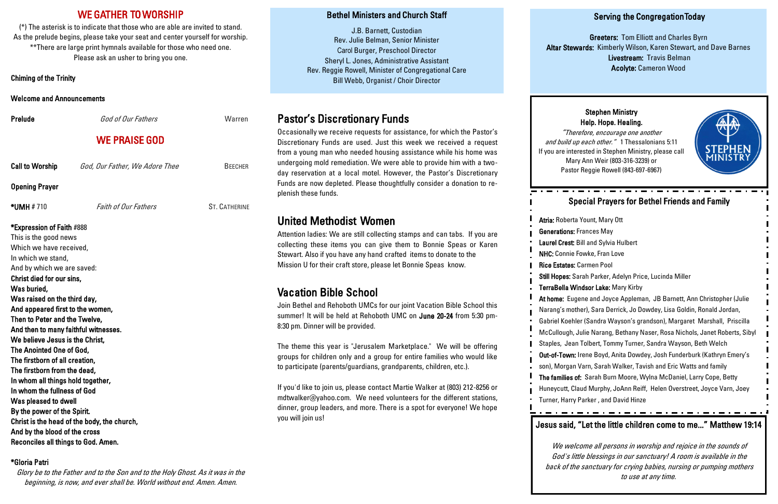## WE GATHER TO WORSHIP

(\*) The asterisk is to indicate that those who are able are invited to stand. As the prelude begins, please take your seat and center yourself for worship. \*\*There are large print hymnals available for those who need one. Please ask an usher to bring you one.

Chiming of the Trinity

Welcome and Announcements

**Prelude** God of Our Fathers Warren WE PRAISE GOD Call to Worship God, Our Father, We Adore Thee BEECHER Opening Prayer \*UMH # 710 Faith of Our Fathers ST. CATHERINE \*Expression of Faith #888 This is the good news Which we have received, In which we stand, And by which we are saved: Christ died for our sins, Was buried, Was raised on the third day, And appeared first to the women, Then to Peter and the Twelve, And then to many faithful witnesses. We believe Jesus is the Christ, The Anointed One of God, The firstborn of all creation, The firstborn from the dead, In whom all things hold together, In whom the fullness of God Was pleased to dwell By the power of the Spirit.

Christ is the head of the body, the church, And by the blood of the cross Reconciles all things to God. Amen.

### \*Gloria Patri

Glory be to the Father and to the Son and to the Holy Ghost. As it was in the beginning, is now, and ever shall be. World without end. Amen. Amen.

## Serving the Congregation Today

Greeters: Tom Elliott and Charles Byrn Altar Stewards: Kimberly Wilson, Karen Stewart, and Dave Barnes Livestream: Travis Belman Acolyte: Cameron Wood

## Bethel Ministers and Church Staff

J.B. Barnett, Custodian Rev. Julie Belman, Senior Minister Carol Burger, Preschool Director Sheryl L. Jones, Administrative Assistant Rev. Reggie Rowell, Minister of Congregational Care Bill Webb, Organist / Choir Director

# Pastor's Discretionary Funds

Occasionally we receive requests for assistance, for which the Pastor's Discretionary Funds are used. Just this week we received a request from a young man who needed housing assistance while his home was undergoing mold remediation. We were able to provide him with a twoday reservation at a local motel. However, the Pastor's Discretionary Funds are now depleted. Please thoughtfully consider a donation to replenish these funds.

# United Methodist Women

Attention ladies: We are still collecting stamps and can tabs. If you are collecting these items you can give them to Bonnie Speas or Karen Stewart. Also if you have any hand crafted items to donate to the Mission U for their craft store, please let Bonnie Speas know.

# Vacation Bible School

Join Bethel and Rehoboth UMCs for our joint Vacation Bible School this summer! It will be held at Rehoboth UMC on June 20-24 from 5:30 pm-8:30 pm. Dinner will be provided.

The theme this year is "Jerusalem Marketplace." We will be offering groups for children only and a group for entire families who would like to participate (parents/guardians, grandparents, children, etc.).

If you'd like to join us, please contact Martie Walker at (803) 212-8256 or mdtwalker@yahoo.com. We need volunteers for the different stations, dinner, group leaders, and more. There is a spot for everyone! We hope you will join us!

## Special Prayers for Bethel Friends and Family

Atria: Roberta Yount, Mary Ott Generations: Frances May Laurel Crest: Bill and Sylvia Hulbert NHC: Connie Fowke, Fran Love Rice Estates: Carmen Pool Still Hopes: Sarah Parker, Adelyn Price, Lucinda Miller TerraBella Windsor Lake: Mary Kirby At home: Eugene and Joyce Appleman, JB Barnett, Ann Christopher (Julie Narang's mother), Sara Derrick, Jo Dowdey, Lisa Goldin, Ronald Jordan, Gabriel Koehler (Sandra Wayson's grandson), Margaret Marshall, Priscilla McCullough, Julie Narang, Bethany Naser, Rosa Nichols, Janet Roberts, Sibyl Staples, Jean Tolbert, Tommy Turner, Sandra Wayson, Beth Welch Out-of-Town: Irene Boyd, Anita Dowdey, Josh Funderburk (Kathryn Emery's son), Morgan Varn, Sarah Walker, Tavish and Eric Watts and family The families of: Sarah Burn Moore, Wylna McDaniel, Larry Cope, Betty Huneycutt, Claud Murphy, JoAnn Reiff, Helen Overstreet, Joyce Varn, Joey Turner, Harry Parker , and David Hinze

#### Stephen Ministry Help. Hope. Healing.

"Therefore, encourage one another and build up each other." 1 Thessalonians 5:11 If you are interested in Stephen Ministry, please call Mary Ann Weir (803-316-3239) or Pastor Reggie Rowell (843-697-6967)



## Jesus said, "Let the little children come to me..." Matthew 19:14

We welcome all persons in worship and rejoice in the sounds of God's little blessings in our sanctuary! A room is available in the back of the sanctuary for crying babies, nursing or pumping mothers to use at any time.